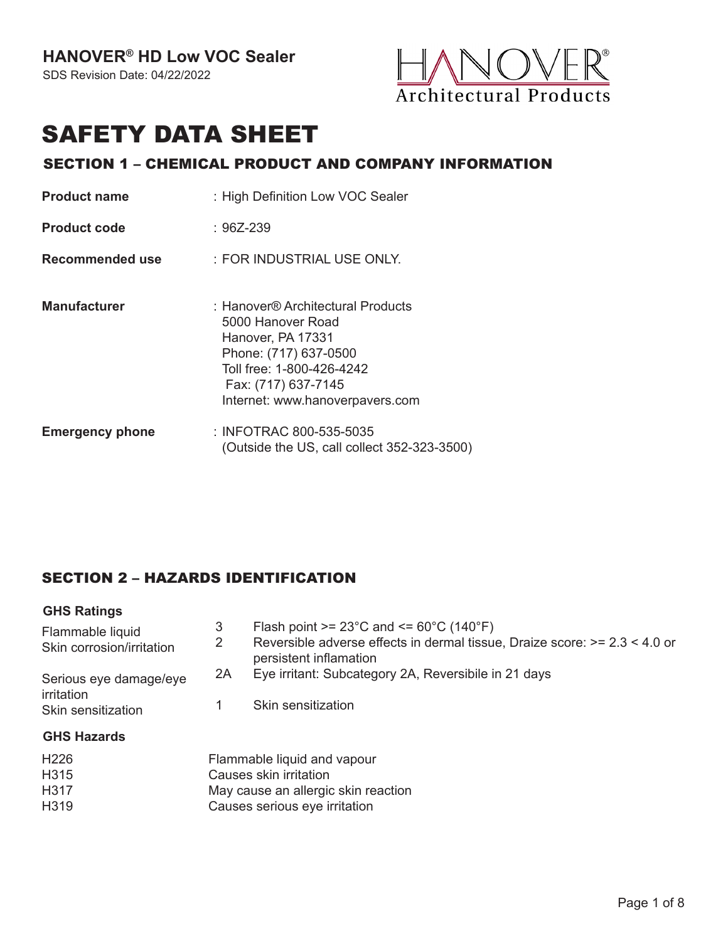

# SAFETY DATA SHEET

#### SECTION 1 – CHEMICAL PRODUCT AND COMPANY INFORMATION

| <b>Product name</b>    | : High Definition Low VOC Sealer                                                                                                                                                            |
|------------------------|---------------------------------------------------------------------------------------------------------------------------------------------------------------------------------------------|
| <b>Product code</b>    | :96Z-239                                                                                                                                                                                    |
| Recommended use        | : FOR INDUSTRIAL USE ONLY.                                                                                                                                                                  |
| <b>Manufacturer</b>    | : Hanover® Architectural Products<br>5000 Hanover Road<br>Hanover, PA 17331<br>Phone: (717) 637-0500<br>Toll free: 1-800-426-4242<br>Fax: (717) 637-7145<br>Internet: www.hanoverpavers.com |
| <b>Emergency phone</b> | : INFOTRAC 800-535-5035<br>(Outside the US, call collect 352-323-3500)                                                                                                                      |

# SECTION 2 – HAZARDS IDENTIFICATION

| <b>GHS Ratings</b>                            |        |                                                                                                                                                                                   |
|-----------------------------------------------|--------|-----------------------------------------------------------------------------------------------------------------------------------------------------------------------------------|
| Flammable liquid<br>Skin corrosion/irritation | 3<br>2 | Flash point $>= 23^{\circ}$ C and $<= 60^{\circ}$ C (140 $^{\circ}$ F)<br>Reversible adverse effects in dermal tissue, Draize score: $> = 2.3 < 4.0$ or<br>persistent inflamation |
| Serious eye damage/eye<br>irritation          | 2A     | Eye irritant: Subcategory 2A, Reversibile in 21 days<br>Skin sensitization                                                                                                        |
| Skin sensitization<br><b>GHS Hazards</b>      |        |                                                                                                                                                                                   |
| H <sub>226</sub><br>H315<br>H317<br>H319      |        | Flammable liquid and vapour<br>Causes skin irritation<br>May cause an allergic skin reaction<br>Causes serious eye irritation                                                     |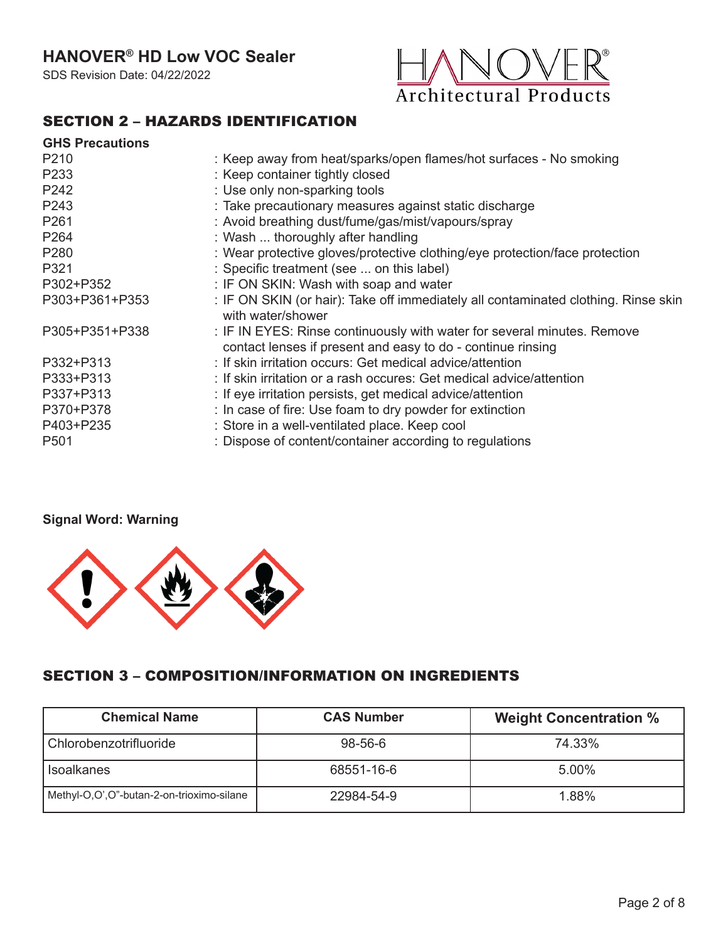# **HANOVER® HD Low VOC Sealer**

SDS Revision Date: 04/22/2022



#### SECTION 2 – HAZARDS IDENTIFICATION

| <b>GHS Precautions</b> |                                                                                                                                        |
|------------------------|----------------------------------------------------------------------------------------------------------------------------------------|
| P210                   | : Keep away from heat/sparks/open flames/hot surfaces - No smoking                                                                     |
| P233                   | : Keep container tightly closed                                                                                                        |
| P242                   | : Use only non-sparking tools                                                                                                          |
| P243                   | : Take precautionary measures against static discharge                                                                                 |
| P261                   | : Avoid breathing dust/fume/gas/mist/vapours/spray                                                                                     |
| P264                   | : Wash  thoroughly after handling                                                                                                      |
| P <sub>280</sub>       | : Wear protective gloves/protective clothing/eye protection/face protection                                                            |
| P321                   | : Specific treatment (see  on this label)                                                                                              |
| P302+P352              | : IF ON SKIN: Wash with soap and water                                                                                                 |
| P303+P361+P353         | : IF ON SKIN (or hair): Take off immediately all contaminated clothing. Rinse skin<br>with water/shower                                |
| P305+P351+P338         | : IF IN EYES: Rinse continuously with water for several minutes. Remove<br>contact lenses if present and easy to do - continue rinsing |
| P332+P313              | : If skin irritation occurs: Get medical advice/attention                                                                              |
| P333+P313              | : If skin irritation or a rash occures: Get medical advice/attention                                                                   |
| P337+P313              | : If eye irritation persists, get medical advice/attention                                                                             |
| P370+P378              | : In case of fire: Use foam to dry powder for extinction                                                                               |
| P403+P235              | : Store in a well-ventilated place. Keep cool                                                                                          |
| P <sub>501</sub>       | : Dispose of content/container according to regulations                                                                                |

#### **Signal Word: Warning**



#### SECTION 3 – COMPOSITION/INFORMATION ON INGREDIENTS

| <b>Chemical Name</b>                      | <b>CAS Number</b> | <b>Weight Concentration %</b> |
|-------------------------------------------|-------------------|-------------------------------|
| Chlorobenzotrifluoride                    | $98 - 56 - 6$     | 74.33%                        |
| <b>Isoalkanes</b>                         | 68551-16-6        | 5.00%                         |
| Methyl-O,O',O"-butan-2-on-trioximo-silane | 22984-54-9        | 1.88%                         |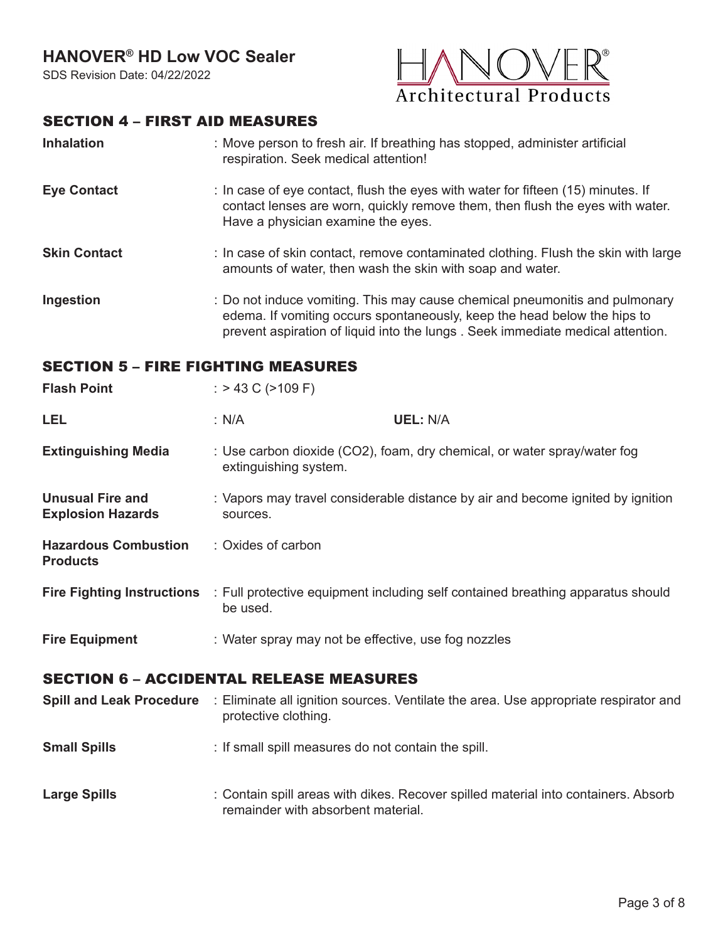# **HANOVER® HD Low VOC Sealer**

SDS Revision Date: 04/22/2022



#### SECTION 4 – FIRST AID MEASURES

| <b>Inhalation</b> | : Move person to fresh air. If breathing has stopped, administer artificial |
|-------------------|-----------------------------------------------------------------------------|
|                   | respiration. Seek medical attention!                                        |

**Eye Contact** : In case of eye contact, flush the eyes with water for fifteen (15) minutes. If contact lenses are worn, quickly remove them, then flush the eyes with water. Have a physician examine the eyes.

**Skin Contact** : In case of skin contact, remove contaminated clothing. Flush the skin with large amounts of water, then wash the skin with soap and water.

**Ingestion** : Do not induce vomiting. This may cause chemical pneumonitis and pulmonary edema. If vomiting occurs spontaneously, keep the head below the hips to prevent aspiration of liquid into the lungs . Seek immediate medical attention.

#### SECTION 5 – FIRE FIGHTING MEASURES

| <b>Flash Point</b>                                  | : $> 43$ C ( $> 109$ F) |                                                                                 |
|-----------------------------------------------------|-------------------------|---------------------------------------------------------------------------------|
| LEL                                                 | : N/A                   | <b>UEL: N/A</b>                                                                 |
| <b>Extinguishing Media</b>                          | extinguishing system.   | : Use carbon dioxide (CO2), foam, dry chemical, or water spray/water fog        |
| <b>Unusual Fire and</b><br><b>Explosion Hazards</b> | sources.                | : Vapors may travel considerable distance by air and become ignited by ignition |
| <b>Hazardous Combustion</b><br><b>Products</b>      | : Oxides of carbon      |                                                                                 |
| <b>Fire Fighting Instructions</b>                   | be used.                | : Full protective equipment including self contained breathing apparatus should |
|                                                     |                         |                                                                                 |

#### **Fire Equipment** : Water spray may not be effective, use fog nozzles

#### SECTION 6 – ACCIDENTAL RELEASE MEASURES

- **Spill and Leak Procedure** : Eliminate all ignition sources. Ventilate the area. Use appropriate respirator and **Small Spills** : If small spill measures do not contain the spill. protective clothing.
- **Large Spills** : Contain spill areas with dikes. Recover spilled material into containers. Absorb remainder with absorbent material.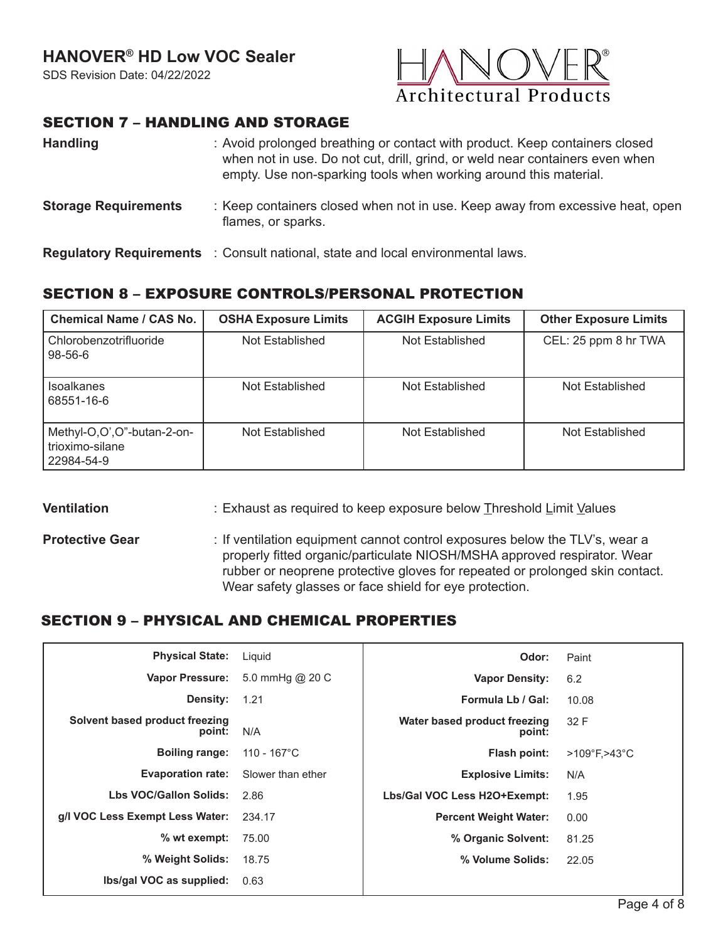

#### SECTION 7 – HANDLING AND STORAGE

| <b>Handling</b>             | : Avoid prolonged breathing or contact with product. Keep containers closed<br>when not in use. Do not cut, drill, grind, or weld near containers even when<br>empty. Use non-sparking tools when working around this material. |  |  |
|-----------------------------|---------------------------------------------------------------------------------------------------------------------------------------------------------------------------------------------------------------------------------|--|--|
| <b>Storage Requirements</b> | : Keep containers closed when not in use. Keep away from excessive heat, open<br>flames, or sparks.                                                                                                                             |  |  |
|                             | <b>Regulatory Requirements</b> : Consult national, state and local environmental laws.                                                                                                                                          |  |  |

# SECTION 8 – EXPOSURE CONTROLS/PERSONAL PROTECTION

| <b>Chemical Name / CAS No.</b>                              | <b>OSHA Exposure Limits</b> | <b>ACGIH Exposure Limits</b> | <b>Other Exposure Limits</b> |
|-------------------------------------------------------------|-----------------------------|------------------------------|------------------------------|
| Chlorobenzotrifluoride<br>$98 - 56 - 6$                     | Not Established             | Not Established              | CEL: 25 ppm 8 hr TWA         |
| <b>Isoalkanes</b><br>68551-16-6                             | Not Established             | Not Established              | Not Established              |
| Methyl-O,O',O"-butan-2-on-<br>trioximo-silane<br>22984-54-9 | Not Established             | Not Established              | Not Established              |

#### **Ventilation**

- : Exhaust as required to keep exposure below Threshold Limit Values
- **Protective Gear** : If ventilation equipment cannot control exposures below the TLV's, wear a properly fitted organic/particulate NIOSH/MSHA approved respirator. Wear rubber or neoprene protective gloves for repeated or prolonged skin contact. Wear safety glasses or face shield for eye protection.

#### SECTION 9 – PHYSICAL AND CHEMICAL PROPERTIES

| <b>Physical State:</b>                   | Liquid                | Odor:                                  | Paint                             |
|------------------------------------------|-----------------------|----------------------------------------|-----------------------------------|
| <b>Vapor Pressure:</b>                   | 5.0 mmHg @ 20 C       | <b>Vapor Density:</b>                  | 6.2                               |
| Density:                                 | 1.21                  | Formula Lb / Gal:                      | 10.08                             |
| Solvent based product freezing<br>point: | N/A                   | Water based product freezing<br>point: | 32 F                              |
| <b>Boiling range:</b>                    | $110 - 167^{\circ}$ C | Flash point:                           | $>109^{\circ}$ F, $>43^{\circ}$ C |
| <b>Evaporation rate:</b>                 | Slower than ether     | <b>Explosive Limits:</b>               | N/A                               |
| Lbs VOC/Gallon Solids:                   | 2.86                  | Lbs/Gal VOC Less H2O+Exempt:           | 1.95                              |
| g/I VOC Less Exempt Less Water:          | 234.17                | <b>Percent Weight Water:</b>           | 0.00                              |
| % wt exempt:                             | 75.00                 | % Organic Solvent:                     | 81.25                             |
| % Weight Solids:                         | 18.75                 | % Volume Solids:                       | 22.05                             |
| Ibs/gal VOC as supplied:                 | 0.63                  |                                        |                                   |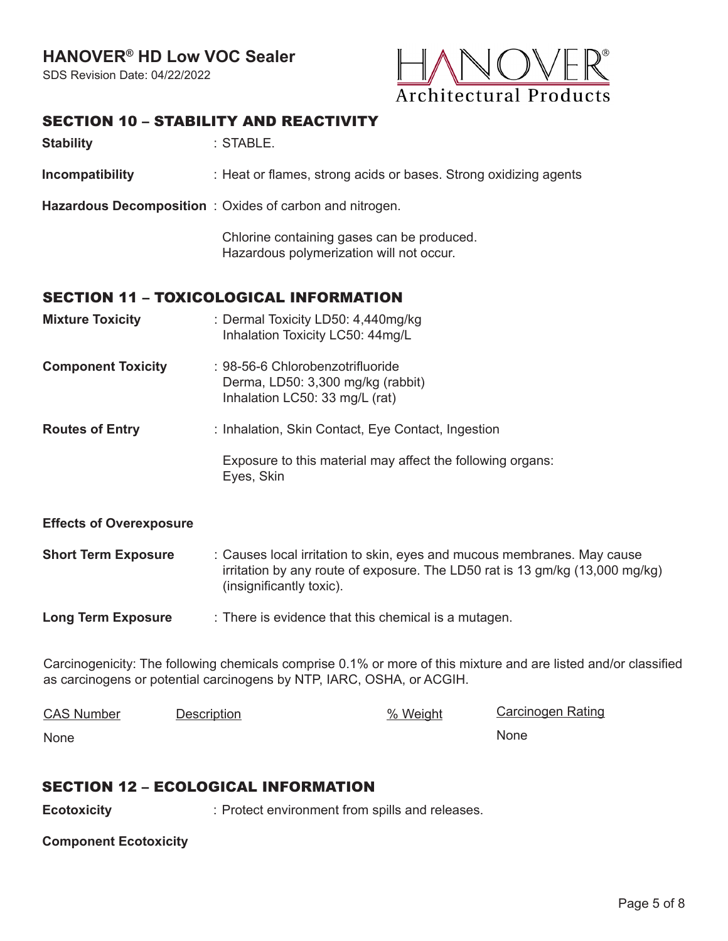# **HANOVER® HD Low VOC Sealer**

SDS Revision Date: 04/22/2022



## SECTION 10 - STARILITY AND REACTIVITY

| ULVIIVII IV <sup>—</sup> VIADILII I AND NLAVIIVII I |                                                                                                         |
|-----------------------------------------------------|---------------------------------------------------------------------------------------------------------|
| <b>Stability</b>                                    | : STABLE.                                                                                               |
| Incompatibility                                     | : Heat or flames, strong acids or bases. Strong oxidizing agents                                        |
|                                                     | Hazardous Decomposition: Oxides of carbon and nitrogen.                                                 |
|                                                     | Chlorine containing gases can be produced.<br>Hazardous polymerization will not occur.                  |
|                                                     | <b>SECTION 11 - TOXICOLOGICAL INFORMATION</b>                                                           |
| <b>Mixture Toxicity</b>                             | : Dermal Toxicity LD50: 4,440mg/kg<br>Inhalation Toxicity LC50: 44mg/L                                  |
| <b>Component Toxicity</b>                           | : 98-56-6 Chlorobenzotrifluoride<br>Derma, LD50: 3,300 mg/kg (rabbit)<br>Inhalation LC50: 33 mg/L (rat) |
| <b>Routes of Entry</b>                              | : Inhalation, Skin Contact, Eye Contact, Ingestion                                                      |
|                                                     | Exposure to this material may affect the following organs:<br>Eyes, Skin                                |
| <b>Effects of Overexposure</b>                      |                                                                                                         |
|                                                     |                                                                                                         |

**Short Term Exposure** Causes local irritation to skin, eyes and mucous membranes. May cause : irritation by any route of exposure. The LD50 rat is 13 gm/kg (13,000 mg/kg) (insignificantly toxic).

**Long Term Exposure** There is evidence that this chemical is a mutagen. :

Carcinogenicity: The following chemicals comprise 0.1% or more of this mixture and are listed and/or classified as carcinogens or potential carcinogens by NTP, IARC, OSHA, or ACGIH.

| <b>CAS Number</b> | Description | % Weight | Carcinogen Rating |
|-------------------|-------------|----------|-------------------|
| None              |             |          | None              |

#### SECTION 12 – ECOLOGICAL INFORMATION

**Ecotoxicity** : Protect environment from spills and releases.

**Component Ecotoxicity**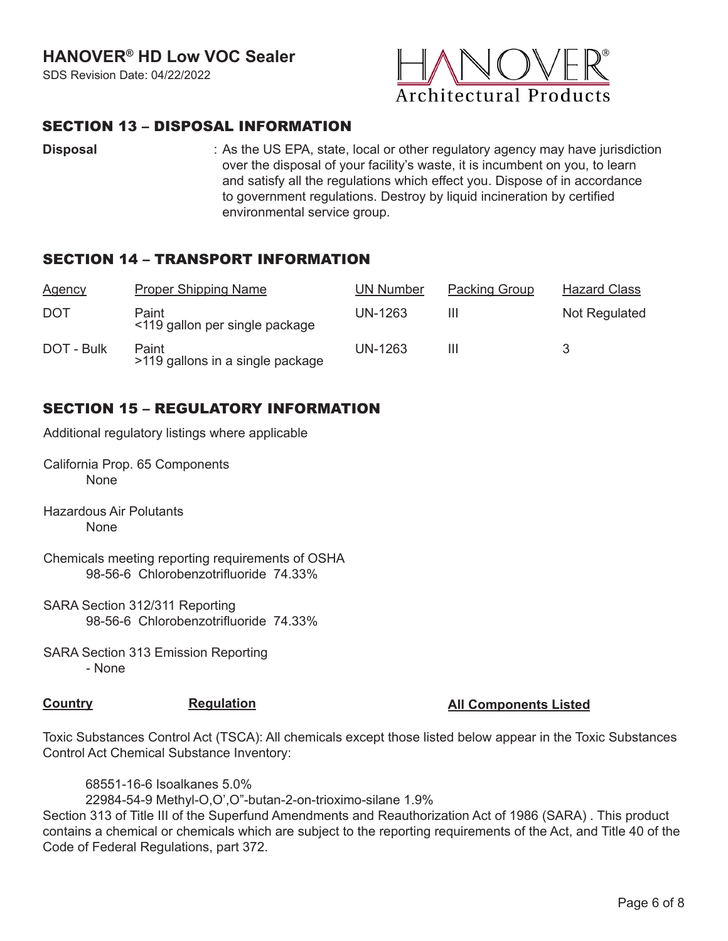

#### SECTION 13 – DISPOSAL INFORMATION

**Disposal** : As the US EPA, state, local or other regulatory agency may have jurisdiction over the disposal of your facility's waste, it is incumbent on you, to learn and satisfy all the regulations which effect you. Dispose of in accordance to government regulations. Destroy by liquid incineration by certified environmental service group.

#### SECTION 14 – TRANSPORT INFORMATION

| <b>Agency</b> | <b>Proper Shipping Name</b>               | <b>UN Number</b> | <b>Packing Group</b> | <b>Hazard Class</b> |
|---------------|-------------------------------------------|------------------|----------------------|---------------------|
| DOT           | Paint<br><119 gallon per single package   | UN-1263          | Ш                    | Not Regulated       |
| DOT - Bulk    | Paint<br>>119 gallons in a single package | UN-1263          | Ш                    |                     |

# SECTION 15 – REGULATORY INFORMATION

Additional regulatory listings where applicable

- California Prop. 65 Components None
- Hazardous Air Polutants None
- Chemicals meeting reporting requirements of OSHA 98-56-6 Chlorobenzotrifluoride 74.33%
- SARA Section 312/311 Reporting 98-56-6 Chlorobenzotrifluoride 74.33%
- SARA Section 313 Emission Reporting - None

#### **Country <b>Regulation Regulation Regulation All Components Listed**

Toxic Substances Control Act (TSCA): All chemicals except those listed below appear in the Toxic Substances Control Act Chemical Substance Inventory:

68551-16-6 Isoalkanes 5.0%

22984-54-9 Methyl-O,O',O"-butan-2-on-trioximo-silane 1.9%

Section 313 of Title III of the Superfund Amendments and Reauthorization Act of 1986 (SARA) . This product contains a chemical or chemicals which are subject to the reporting requirements of the Act, and Title 40 of the Code of Federal Regulations, part 372.